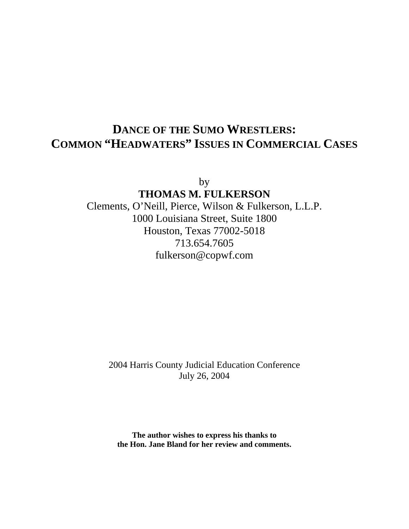# **DANCE OF THE SUMO WRESTLERS: COMMON "HEADWATERS" ISSUES IN COMMERCIAL CASES**

by

**THOMAS M. FULKERSON** Clements, O'Neill, Pierce, Wilson & Fulkerson, L.L.P. 1000 Louisiana Street, Suite 1800 Houston, Texas 77002-5018 713.654.7605 fulkerson@copwf.com

> 2004 Harris County Judicial Education Conference July 26, 2004

**The author wishes to express his thanks to the Hon. Jane Bland for her review and comments.**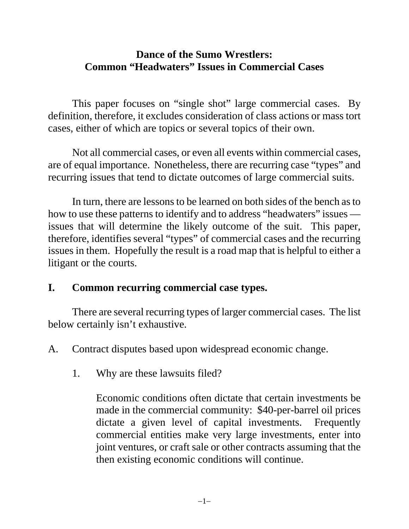# **Dance of the Sumo Wrestlers: Common "Headwaters" Issues in Commercial Cases**

This paper focuses on "single shot" large commercial cases. By definition, therefore, it excludes consideration of class actions or mass tort cases, either of which are topics or several topics of their own.

Not all commercial cases, or even all events within commercial cases, are of equal importance. Nonetheless, there are recurring case "types" and recurring issues that tend to dictate outcomes of large commercial suits.

In turn, there are lessons to be learned on both sides of the bench as to how to use these patterns to identify and to address "headwaters" issues issues that will determine the likely outcome of the suit. This paper, therefore, identifies several "types" of commercial cases and the recurring issues in them. Hopefully the result is a road map that is helpful to either a litigant or the courts.

# **I. Common recurring commercial case types.**

There are several recurring types of larger commercial cases. The list below certainly isn't exhaustive.

A. Contract disputes based upon widespread economic change.

1. Why are these lawsuits filed?

Economic conditions often dictate that certain investments be made in the commercial community: \$40-per-barrel oil prices dictate a given level of capital investments. Frequently commercial entities make very large investments, enter into joint ventures, or craft sale or other contracts assuming that the then existing economic conditions will continue.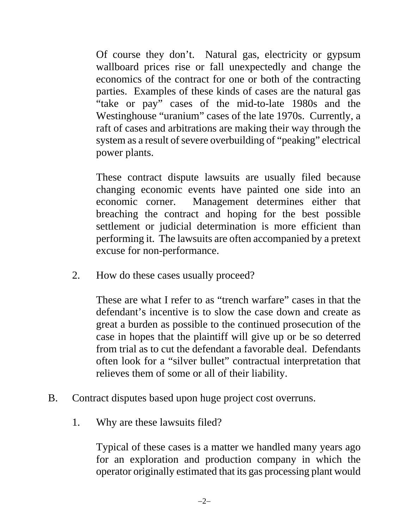Of course they don't. Natural gas, electricity or gypsum wallboard prices rise or fall unexpectedly and change the economics of the contract for one or both of the contracting parties. Examples of these kinds of cases are the natural gas "take or pay" cases of the mid-to-late 1980s and the Westinghouse "uranium" cases of the late 1970s. Currently, a raft of cases and arbitrations are making their way through the system as a result of severe overbuilding of "peaking" electrical power plants.

These contract dispute lawsuits are usually filed because changing economic events have painted one side into an economic corner. Management determines either that breaching the contract and hoping for the best possible settlement or judicial determination is more efficient than performing it. The lawsuits are often accompanied by a pretext excuse for non-performance.

2. How do these cases usually proceed?

These are what I refer to as "trench warfare" cases in that the defendant's incentive is to slow the case down and create as great a burden as possible to the continued prosecution of the case in hopes that the plaintiff will give up or be so deterred from trial as to cut the defendant a favorable deal. Defendants often look for a "silver bullet" contractual interpretation that relieves them of some or all of their liability.

- B. Contract disputes based upon huge project cost overruns.
	- 1. Why are these lawsuits filed?

Typical of these cases is a matter we handled many years ago for an exploration and production company in which the operator originally estimated that its gas processing plant would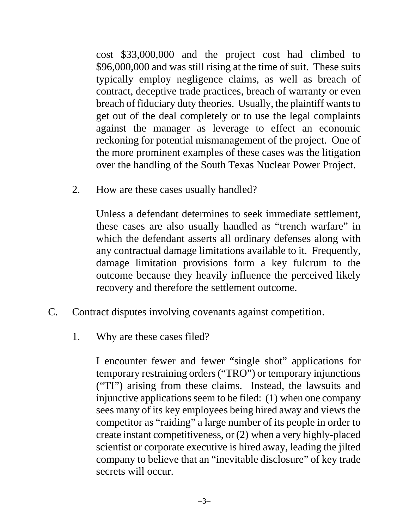cost \$33,000,000 and the project cost had climbed to \$96,000,000 and was still rising at the time of suit. These suits typically employ negligence claims, as well as breach of contract, deceptive trade practices, breach of warranty or even breach of fiduciary duty theories. Usually, the plaintiff wants to get out of the deal completely or to use the legal complaints against the manager as leverage to effect an economic reckoning for potential mismanagement of the project. One of the more prominent examples of these cases was the litigation over the handling of the South Texas Nuclear Power Project.

2. How are these cases usually handled?

Unless a defendant determines to seek immediate settlement, these cases are also usually handled as "trench warfare" in which the defendant asserts all ordinary defenses along with any contractual damage limitations available to it. Frequently, damage limitation provisions form a key fulcrum to the outcome because they heavily influence the perceived likely recovery and therefore the settlement outcome.

- C. Contract disputes involving covenants against competition.
	- 1. Why are these cases filed?

I encounter fewer and fewer "single shot" applications for temporary restraining orders ("TRO") or temporary injunctions ("TI") arising from these claims. Instead, the lawsuits and injunctive applications seem to be filed: (1) when one company sees many of its key employees being hired away and views the competitor as "raiding" a large number of its people in order to create instant competitiveness, or (2) when a very highly-placed scientist or corporate executive is hired away, leading the jilted company to believe that an "inevitable disclosure" of key trade secrets will occur.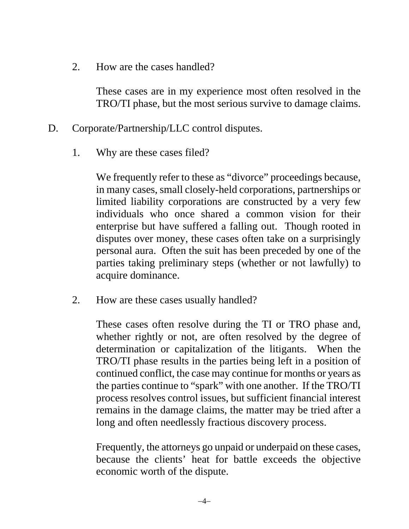2. How are the cases handled?

These cases are in my experience most often resolved in the TRO/TI phase, but the most serious survive to damage claims.

- D. Corporate/Partnership/LLC control disputes.
	- 1. Why are these cases filed?

We frequently refer to these as "divorce" proceedings because, in many cases, small closely-held corporations, partnerships or limited liability corporations are constructed by a very few individuals who once shared a common vision for their enterprise but have suffered a falling out. Though rooted in disputes over money, these cases often take on a surprisingly personal aura. Often the suit has been preceded by one of the parties taking preliminary steps (whether or not lawfully) to acquire dominance.

2. How are these cases usually handled?

These cases often resolve during the TI or TRO phase and, whether rightly or not, are often resolved by the degree of determination or capitalization of the litigants. When the TRO/TI phase results in the parties being left in a position of continued conflict, the case may continue for months or years as the parties continue to "spark" with one another. If the TRO/TI process resolves control issues, but sufficient financial interest remains in the damage claims, the matter may be tried after a long and often needlessly fractious discovery process.

Frequently, the attorneys go unpaid or underpaid on these cases, because the clients' heat for battle exceeds the objective economic worth of the dispute.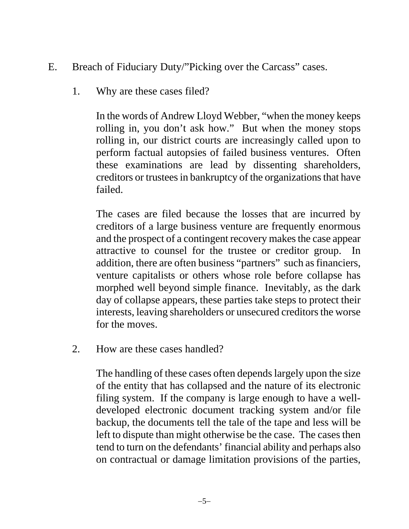- E. Breach of Fiduciary Duty/"Picking over the Carcass" cases.
	- 1. Why are these cases filed?

In the words of Andrew Lloyd Webber, "when the money keeps rolling in, you don't ask how." But when the money stops rolling in, our district courts are increasingly called upon to perform factual autopsies of failed business ventures. Often these examinations are lead by dissenting shareholders, creditors or trustees in bankruptcy of the organizations that have failed.

The cases are filed because the losses that are incurred by creditors of a large business venture are frequently enormous and the prospect of a contingent recovery makes the case appear attractive to counsel for the trustee or creditor group. In addition, there are often business "partners" such as financiers, venture capitalists or others whose role before collapse has morphed well beyond simple finance. Inevitably, as the dark day of collapse appears, these parties take steps to protect their interests, leaving shareholders or unsecured creditors the worse for the moves.

2. How are these cases handled?

The handling of these cases often depends largely upon the size of the entity that has collapsed and the nature of its electronic filing system. If the company is large enough to have a welldeveloped electronic document tracking system and/or file backup, the documents tell the tale of the tape and less will be left to dispute than might otherwise be the case. The cases then tend to turn on the defendants' financial ability and perhaps also on contractual or damage limitation provisions of the parties,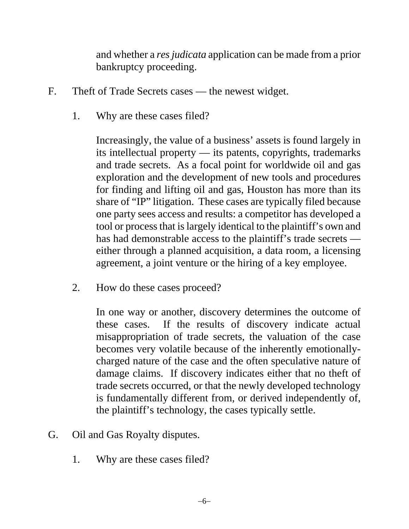and whether a *res judicata* application can be made from a prior bankruptcy proceeding.

- F. Theft of Trade Secrets cases the newest widget.
	- 1. Why are these cases filed?

Increasingly, the value of a business' assets is found largely in its intellectual property — its patents, copyrights, trademarks and trade secrets. As a focal point for worldwide oil and gas exploration and the development of new tools and procedures for finding and lifting oil and gas, Houston has more than its share of "IP" litigation. These cases are typically filed because one party sees access and results: a competitor has developed a tool or process that is largely identical to the plaintiff's own and has had demonstrable access to the plaintiff's trade secrets either through a planned acquisition, a data room, a licensing agreement, a joint venture or the hiring of a key employee.

2. How do these cases proceed?

In one way or another, discovery determines the outcome of these cases. If the results of discovery indicate actual misappropriation of trade secrets, the valuation of the case becomes very volatile because of the inherently emotionallycharged nature of the case and the often speculative nature of damage claims. If discovery indicates either that no theft of trade secrets occurred, or that the newly developed technology is fundamentally different from, or derived independently of, the plaintiff's technology, the cases typically settle.

- G. Oil and Gas Royalty disputes.
	- 1. Why are these cases filed?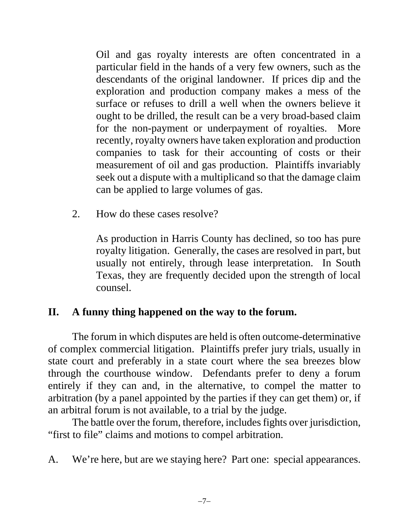Oil and gas royalty interests are often concentrated in a particular field in the hands of a very few owners, such as the descendants of the original landowner. If prices dip and the exploration and production company makes a mess of the surface or refuses to drill a well when the owners believe it ought to be drilled, the result can be a very broad-based claim for the non-payment or underpayment of royalties. More recently, royalty owners have taken exploration and production companies to task for their accounting of costs or their measurement of oil and gas production. Plaintiffs invariably seek out a dispute with a multiplicand so that the damage claim can be applied to large volumes of gas.

2. How do these cases resolve?

As production in Harris County has declined, so too has pure royalty litigation. Generally, the cases are resolved in part, but usually not entirely, through lease interpretation. In South Texas, they are frequently decided upon the strength of local counsel.

### **II. A funny thing happened on the way to the forum.**

The forum in which disputes are held is often outcome-determinative of complex commercial litigation. Plaintiffs prefer jury trials, usually in state court and preferably in a state court where the sea breezes blow through the courthouse window. Defendants prefer to deny a forum entirely if they can and, in the alternative, to compel the matter to arbitration (by a panel appointed by the parties if they can get them) or, if an arbitral forum is not available, to a trial by the judge.

The battle over the forum, therefore, includes fights over jurisdiction, "first to file" claims and motions to compel arbitration.

A. We're here, but are we staying here? Part one: special appearances.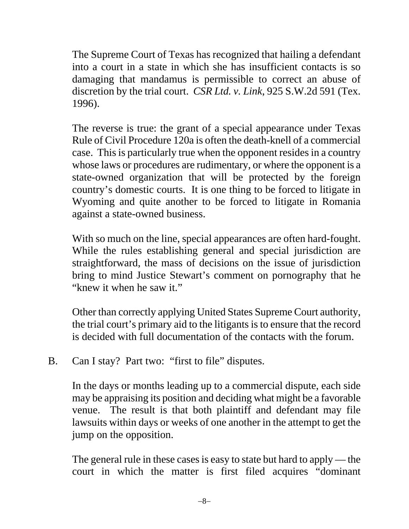The Supreme Court of Texas has recognized that hailing a defendant into a court in a state in which she has insufficient contacts is so damaging that mandamus is permissible to correct an abuse of discretion by the trial court. *CSR Ltd. v. Link*, 925 S.W.2d 591 (Tex. 1996).

The reverse is true: the grant of a special appearance under Texas Rule of Civil Procedure 120a is often the death-knell of a commercial case. This is particularly true when the opponent resides in a country whose laws or procedures are rudimentary, or where the opponent is a state-owned organization that will be protected by the foreign country's domestic courts. It is one thing to be forced to litigate in Wyoming and quite another to be forced to litigate in Romania against a state-owned business.

With so much on the line, special appearances are often hard-fought. While the rules establishing general and special jurisdiction are straightforward, the mass of decisions on the issue of jurisdiction bring to mind Justice Stewart's comment on pornography that he "knew it when he saw it."

Other than correctly applying United States Supreme Court authority, the trial court's primary aid to the litigants is to ensure that the record is decided with full documentation of the contacts with the forum.

B. Can I stay? Part two: "first to file" disputes.

In the days or months leading up to a commercial dispute, each side may be appraising its position and deciding what might be a favorable venue. The result is that both plaintiff and defendant may file lawsuits within days or weeks of one another in the attempt to get the jump on the opposition.

The general rule in these cases is easy to state but hard to apply — the court in which the matter is first filed acquires "dominant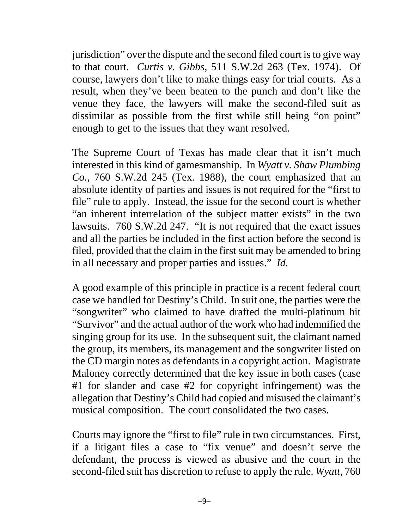jurisdiction" over the dispute and the second filed court is to give way to that court. *Curtis v. Gibbs,* 511 S.W.2d 263 (Tex. 1974). Of course, lawyers don't like to make things easy for trial courts. As a result, when they've been beaten to the punch and don't like the venue they face, the lawyers will make the second-filed suit as dissimilar as possible from the first while still being "on point" enough to get to the issues that they want resolved.

The Supreme Court of Texas has made clear that it isn't much interested in this kind of gamesmanship. In *Wyatt v. Shaw Plumbing Co.*, 760 S.W.2d 245 (Tex. 1988), the court emphasized that an absolute identity of parties and issues is not required for the "first to file" rule to apply. Instead, the issue for the second court is whether "an inherent interrelation of the subject matter exists" in the two lawsuits. 760 S.W.2d 247. "It is not required that the exact issues and all the parties be included in the first action before the second is filed, provided that the claim in the first suit may be amended to bring in all necessary and proper parties and issues." *Id.*

A good example of this principle in practice is a recent federal court case we handled for Destiny's Child. In suit one, the parties were the "songwriter" who claimed to have drafted the multi-platinum hit "Survivor" and the actual author of the work who had indemnified the singing group for its use. In the subsequent suit, the claimant named the group, its members, its management and the songwriter listed on the CD margin notes as defendants in a copyright action. Magistrate Maloney correctly determined that the key issue in both cases (case #1 for slander and case #2 for copyright infringement) was the allegation that Destiny's Child had copied and misused the claimant's musical composition. The court consolidated the two cases.

Courts may ignore the "first to file" rule in two circumstances. First, if a litigant files a case to "fix venue" and doesn't serve the defendant, the process is viewed as abusive and the court in the second-filed suit has discretion to refuse to apply the rule. *Wyatt*, 760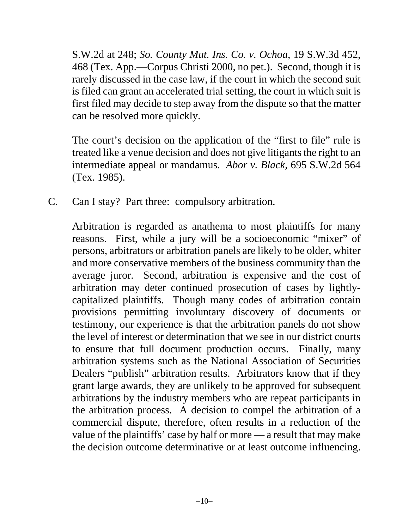S.W.2d at 248; *So. County Mut. Ins. Co. v. Ochoa*, 19 S.W.3d 452, 468 (Tex. App.—Corpus Christi 2000, no pet.). Second, though it is rarely discussed in the case law, if the court in which the second suit is filed can grant an accelerated trial setting, the court in which suit is first filed may decide to step away from the dispute so that the matter can be resolved more quickly.

The court's decision on the application of the "first to file" rule is treated like a venue decision and does not give litigants the right to an intermediate appeal or mandamus. *Abor v. Black,* 695 S.W.2d 564 (Tex. 1985).

C. Can I stay? Part three: compulsory arbitration.

Arbitration is regarded as anathema to most plaintiffs for many reasons. First, while a jury will be a socioeconomic "mixer" of persons, arbitrators or arbitration panels are likely to be older, whiter and more conservative members of the business community than the average juror. Second, arbitration is expensive and the cost of arbitration may deter continued prosecution of cases by lightlycapitalized plaintiffs. Though many codes of arbitration contain provisions permitting involuntary discovery of documents or testimony, our experience is that the arbitration panels do not show the level of interest or determination that we see in our district courts to ensure that full document production occurs. Finally, many arbitration systems such as the National Association of Securities Dealers "publish" arbitration results. Arbitrators know that if they grant large awards, they are unlikely to be approved for subsequent arbitrations by the industry members who are repeat participants in the arbitration process. A decision to compel the arbitration of a commercial dispute, therefore, often results in a reduction of the value of the plaintiffs' case by half or more — a result that may make the decision outcome determinative or at least outcome influencing.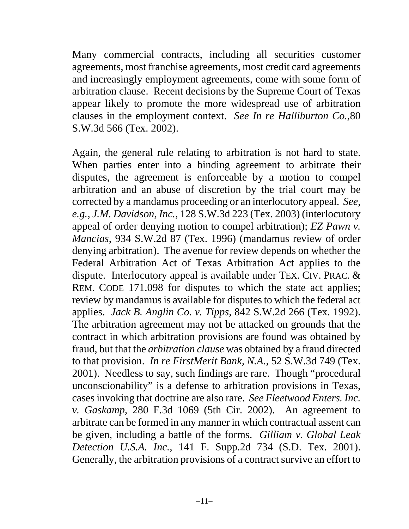Many commercial contracts, including all securities customer agreements, most franchise agreements, most credit card agreements and increasingly employment agreements, come with some form of arbitration clause. Recent decisions by the Supreme Court of Texas appear likely to promote the more widespread use of arbitration clauses in the employment context. *See In re Halliburton Co.,*80 S.W.3d 566 (Tex. 2002).

Again, the general rule relating to arbitration is not hard to state. When parties enter into a binding agreement to arbitrate their disputes, the agreement is enforceable by a motion to compel arbitration and an abuse of discretion by the trial court may be corrected by a mandamus proceeding or an interlocutory appeal. *See, e.g., J.M. Davidson, Inc.*, 128 S.W.3d 223 (Tex. 2003) (interlocutory appeal of order denying motion to compel arbitration); *EZ Pawn v. Mancias*, 934 S.W.2d 87 (Tex. 1996) (mandamus review of order denying arbitration). The avenue for review depends on whether the Federal Arbitration Act of Texas Arbitration Act applies to the dispute. Interlocutory appeal is available under TEX. CIV. PRAC. & REM. CODE 171.098 for disputes to which the state act applies; review by mandamus is available for disputes to which the federal act applies. *Jack B. Anglin Co. v. Tipps*, 842 S.W.2d 266 (Tex. 1992). The arbitration agreement may not be attacked on grounds that the contract in which arbitration provisions are found was obtained by fraud, but that the *arbitration clause* was obtained by a fraud directed to that provision. *In re FirstMerit Bank, N.A.*, 52 S.W.3d 749 (Tex. 2001). Needless to say, such findings are rare. Though "procedural unconscionability" is a defense to arbitration provisions in Texas, cases invoking that doctrine are also rare. *See Fleetwood Enters. Inc. v. Gaskamp*, 280 F.3d 1069 (5th Cir. 2002). An agreement to arbitrate can be formed in any manner in which contractual assent can be given, including a battle of the forms. *Gilliam v. Global Leak Detection U.S.A. Inc.*, 141 F. Supp.2d 734 (S.D. Tex. 2001). Generally, the arbitration provisions of a contract survive an effort to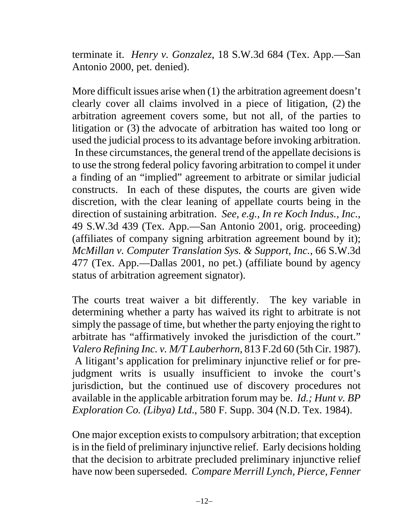terminate it. *Henry v. Gonzalez*, 18 S.W.3d 684 (Tex. App.—San Antonio 2000, pet. denied).

More difficult issues arise when (1) the arbitration agreement doesn't clearly cover all claims involved in a piece of litigation, (2) the arbitration agreement covers some, but not all, of the parties to litigation or (3) the advocate of arbitration has waited too long or used the judicial process to its advantage before invoking arbitration. In these circumstances, the general trend of the appellate decisions is to use the strong federal policy favoring arbitration to compel it under a finding of an "implied" agreement to arbitrate or similar judicial constructs. In each of these disputes, the courts are given wide discretion, with the clear leaning of appellate courts being in the direction of sustaining arbitration. *See, e.g., In re Koch Indus., Inc.*, 49 S.W.3d 439 (Tex. App.—San Antonio 2001, orig. proceeding) (affiliates of company signing arbitration agreement bound by it); *McMillan v. Computer Translation Sys. & Support, Inc.*, 66 S.W.3d 477 (Tex. App.—Dallas 2001, no pet.) (affiliate bound by agency status of arbitration agreement signator).

The courts treat waiver a bit differently. The key variable in determining whether a party has waived its right to arbitrate is not simply the passage of time, but whether the party enjoying the right to arbitrate has "affirmatively invoked the jurisdiction of the court." *Valero Refining Inc. v. M/T Lauberhorn*, 813 F.2d 60 (5th Cir. 1987). A litigant's application for preliminary injunctive relief or for prejudgment writs is usually insufficient to invoke the court's jurisdiction, but the continued use of discovery procedures not available in the applicable arbitration forum may be. *Id.; Hunt v. BP Exploration Co. (Libya) Ltd*., 580 F. Supp. 304 (N.D. Tex. 1984).

One major exception exists to compulsory arbitration; that exception is in the field of preliminary injunctive relief. Early decisions holding that the decision to arbitrate precluded preliminary injunctive relief have now been superseded. *Compare Merrill Lynch, Pierce, Fenner*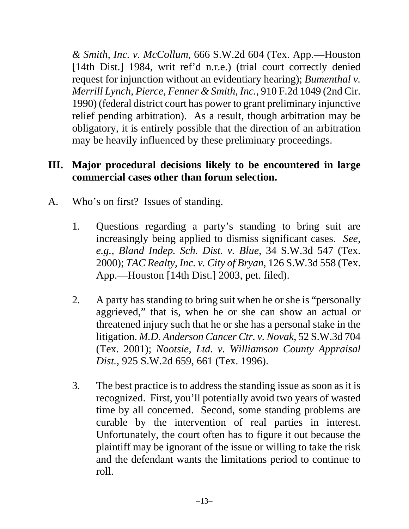*& Smith, Inc. v. McCollum*, 666 S.W.2d 604 (Tex. App.—Houston [14th Dist.] 1984, writ ref'd n.r.e.) (trial court correctly denied request for injunction without an evidentiary hearing); *Bumenthal v. Merrill Lynch, Pierce, Fenner & Smith, Inc.*, 910 F.2d 1049 (2nd Cir. 1990) (federal district court has power to grant preliminary injunctive relief pending arbitration). As a result, though arbitration may be obligatory, it is entirely possible that the direction of an arbitration may be heavily influenced by these preliminary proceedings.

# **III. Major procedural decisions likely to be encountered in large commercial cases other than forum selection.**

- A. Who's on first? Issues of standing.
	- 1. Questions regarding a party's standing to bring suit are increasingly being applied to dismiss significant cases. *See, e.g., Bland Indep. Sch. Dist. v. Blue*, 34 S.W.3d 547 (Tex. 2000); *TAC Realty, Inc. v. City of Bryan*, 126 S.W.3d 558 (Tex. App.—Houston [14th Dist.] 2003, pet. filed).
	- 2. A party has standing to bring suit when he or she is "personally aggrieved," that is, when he or she can show an actual or threatened injury such that he or she has a personal stake in the litigation. *M.D. Anderson Cancer Ctr. v. Novak*, 52 S.W.3d 704 (Tex. 2001); *Nootsie, Ltd. v. Williamson County Appraisal Dist.*, 925 S.W.2d 659, 661 (Tex. 1996).
	- 3. The best practice is to address the standing issue as soon as it is recognized. First, you'll potentially avoid two years of wasted time by all concerned. Second, some standing problems are curable by the intervention of real parties in interest. Unfortunately, the court often has to figure it out because the plaintiff may be ignorant of the issue or willing to take the risk and the defendant wants the limitations period to continue to roll.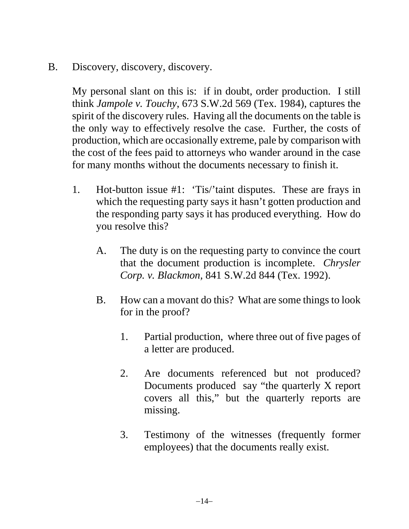B. Discovery, discovery, discovery.

My personal slant on this is: if in doubt, order production. I still think *Jampole v. Touchy*, 673 S.W.2d 569 (Tex. 1984), captures the spirit of the discovery rules. Having all the documents on the table is the only way to effectively resolve the case. Further, the costs of production, which are occasionally extreme, pale by comparison with the cost of the fees paid to attorneys who wander around in the case for many months without the documents necessary to finish it.

- 1. Hot-button issue #1: 'Tis/'taint disputes. These are frays in which the requesting party says it hasn't gotten production and the responding party says it has produced everything. How do you resolve this?
	- A. The duty is on the requesting party to convince the court that the document production is incomplete. *Chrysler Corp. v. Blackmon,* 841 S.W.2d 844 (Tex. 1992).
	- B. How can a movant do this? What are some things to look for in the proof?
		- 1. Partial production, where three out of five pages of a letter are produced.
		- 2. Are documents referenced but not produced? Documents produced say "the quarterly X report covers all this," but the quarterly reports are missing.
		- 3. Testimony of the witnesses (frequently former employees) that the documents really exist.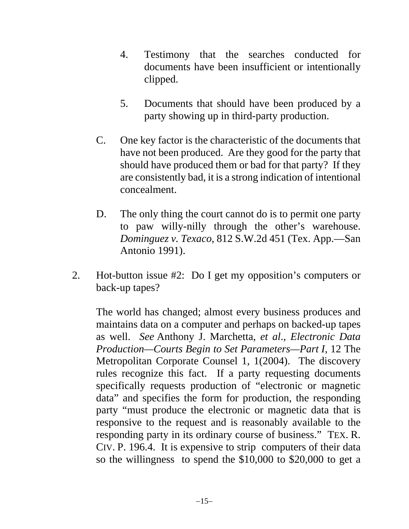- 4. Testimony that the searches conducted for documents have been insufficient or intentionally clipped.
- 5. Documents that should have been produced by a party showing up in third-party production.
- C. One key factor is the characteristic of the documents that have not been produced. Are they good for the party that should have produced them or bad for that party? If they are consistently bad, it is a strong indication of intentional concealment.
- D. The only thing the court cannot do is to permit one party to paw willy-nilly through the other's warehouse. *Dominguez v. Texaco*, 812 S.W.2d 451 (Tex. App.—San Antonio 1991).
- 2. Hot-button issue #2: Do I get my opposition's computers or back-up tapes?

The world has changed; almost every business produces and maintains data on a computer and perhaps on backed-up tapes as well. *See* Anthony J. Marchetta, *et al*.*, Electronic Data Production—Courts Begin to Set Parameters—Part I*, 12 The Metropolitan Corporate Counsel 1, 1(2004). The discovery rules recognize this fact. If a party requesting documents specifically requests production of "electronic or magnetic data" and specifies the form for production, the responding party "must produce the electronic or magnetic data that is responsive to the request and is reasonably available to the responding party in its ordinary course of business." TEX. R. CIV. P. 196.4. It is expensive to strip computers of their data so the willingness to spend the \$10,000 to \$20,000 to get a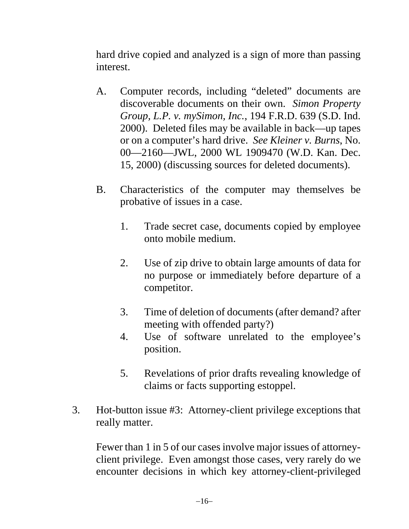hard drive copied and analyzed is a sign of more than passing interest.

- A. Computer records, including "deleted" documents are discoverable documents on their own. *Simon Property Group, L.P. v. mySimon, Inc.*, 194 F.R.D. 639 (S.D. Ind. 2000). Deleted files may be available in back—up tapes or on a computer's hard drive. *See Kleiner v. Burns*, No. 00—2160—JWL, 2000 WL 1909470 (W.D. Kan. Dec. 15, 2000) (discussing sources for deleted documents).
- B. Characteristics of the computer may themselves be probative of issues in a case.
	- 1. Trade secret case, documents copied by employee onto mobile medium.
	- 2. Use of zip drive to obtain large amounts of data for no purpose or immediately before departure of a competitor.
	- 3. Time of deletion of documents (after demand? after meeting with offended party?)
	- 4. Use of software unrelated to the employee's position.
	- 5. Revelations of prior drafts revealing knowledge of claims or facts supporting estoppel.
- 3. Hot-button issue #3: Attorney-client privilege exceptions that really matter.

Fewer than 1 in 5 of our cases involve major issues of attorneyclient privilege. Even amongst those cases, very rarely do we encounter decisions in which key attorney-client-privileged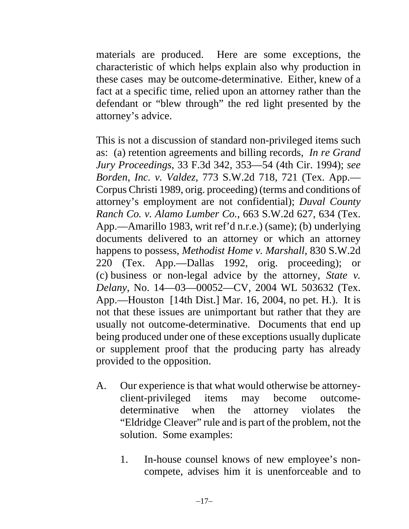materials are produced. Here are some exceptions, the characteristic of which helps explain also why production in these cases may be outcome-determinative. Either, knew of a fact at a specific time, relied upon an attorney rather than the defendant or "blew through" the red light presented by the attorney's advice.

This is not a discussion of standard non-privileged items such as: (a) retention agreements and billing records, *In re Grand Jury Proceedings*, 33 F.3d 342, 353—54 (4th Cir. 1994); *see Borden, Inc. v. Valdez*, 773 S.W.2d 718, 721 (Tex. App.— Corpus Christi 1989, orig. proceeding) (terms and conditions of attorney's employment are not confidential); *Duval County Ranch Co. v. Alamo Lumber Co.*, 663 S.W.2d 627, 634 (Tex. App.—Amarillo 1983, writ ref'd n.r.e.) (same); (b) underlying documents delivered to an attorney or which an attorney happens to possess, *Methodist Home v. Marshall*, 830 S.W.2d 220 (Tex. App.—Dallas 1992, orig. proceeding); or (c) business or non-legal advice by the attorney, *State v. Delany*, No. 14—03—00052—CV, 2004 WL 503632 (Tex. App.—Houston [14th Dist.] Mar. 16, 2004, no pet. H.). It is not that these issues are unimportant but rather that they are usually not outcome-determinative. Documents that end up being produced under one of these exceptions usually duplicate or supplement proof that the producing party has already provided to the opposition.

- A. Our experience is that what would otherwise be attorneyclient-privileged items may become outcomedeterminative when the attorney violates the "Eldridge Cleaver" rule and is part of the problem, not the solution. Some examples:
	- 1. In-house counsel knows of new employee's noncompete, advises him it is unenforceable and to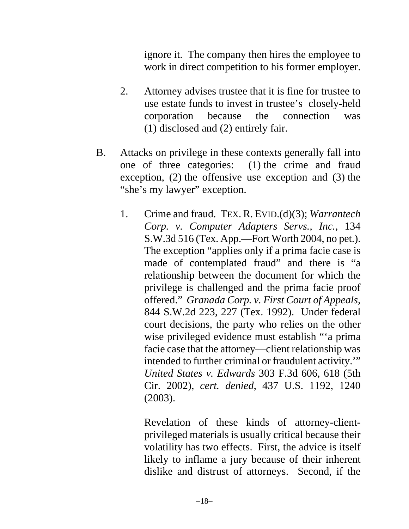ignore it. The company then hires the employee to work in direct competition to his former employer.

- 2. Attorney advises trustee that it is fine for trustee to use estate funds to invest in trustee's closely-held corporation because the connection was (1) disclosed and (2) entirely fair.
- B. Attacks on privilege in these contexts generally fall into one of three categories: (1) the crime and fraud exception, (2) the offensive use exception and (3) the "she's my lawyer" exception.
	- 1. Crime and fraud. TEX. R. EVID.(d)(3); *Warrantech Corp. v. Computer Adapters Servs., Inc.*, 134 S.W.3d 516 (Tex. App.—Fort Worth 2004, no pet.). The exception "applies only if a prima facie case is made of contemplated fraud" and there is "a relationship between the document for which the privilege is challenged and the prima facie proof offered." *Granada Corp. v. First Court of Appeals*, 844 S.W.2d 223, 227 (Tex. 1992). Under federal court decisions, the party who relies on the other wise privileged evidence must establish "'a prima facie case that the attorney—client relationship was intended to further criminal or fraudulent activity.'" *United States v. Edwards* 303 F.3d 606, 618 (5th Cir. 2002), *cert. denied*, 437 U.S. 1192, 1240 (2003).

Revelation of these kinds of attorney-clientprivileged materials is usually critical because their volatility has two effects. First, the advice is itself likely to inflame a jury because of their inherent dislike and distrust of attorneys. Second, if the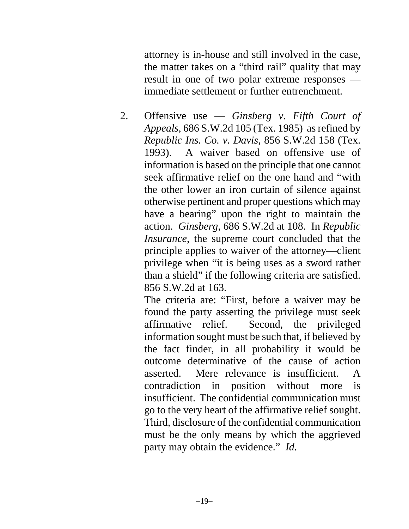attorney is in-house and still involved in the case, the matter takes on a "third rail" quality that may result in one of two polar extreme responses immediate settlement or further entrenchment.

2. Offensive use — *Ginsberg v. Fifth Court of Appeals*, 686 S.W.2d 105 (Tex. 1985) as refined by *Republic Ins. Co. v. Davis*, 856 S.W.2d 158 (Tex. 1993). A waiver based on offensive use of information is based on the principle that one cannot seek affirmative relief on the one hand and "with the other lower an iron curtain of silence against otherwise pertinent and proper questions which may have a bearing" upon the right to maintain the action. *Ginsberg*, 686 S.W.2d at 108. In *Republic Insurance*, the supreme court concluded that the principle applies to waiver of the attorney—client privilege when "it is being uses as a sword rather than a shield" if the following criteria are satisfied. 856 S.W.2d at 163.

The criteria are: "First, before a waiver may be found the party asserting the privilege must seek affirmative relief. Second, the privileged information sought must be such that, if believed by the fact finder, in all probability it would be outcome determinative of the cause of action asserted. Mere relevance is insufficient. A contradiction in position without more is insufficient. The confidential communication must go to the very heart of the affirmative relief sought. Third, disclosure of the confidential communication must be the only means by which the aggrieved party may obtain the evidence." *Id.*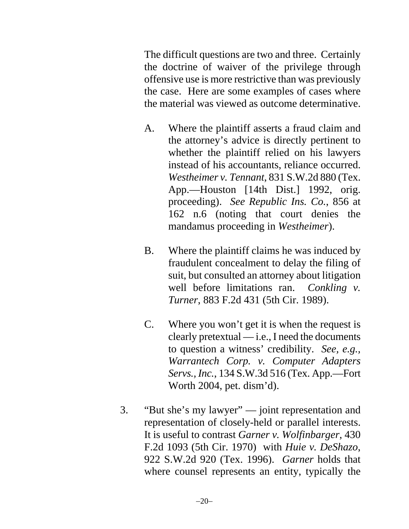The difficult questions are two and three. Certainly the doctrine of waiver of the privilege through offensive use is more restrictive than was previously the case. Here are some examples of cases where the material was viewed as outcome determinative.

- A. Where the plaintiff asserts a fraud claim and the attorney's advice is directly pertinent to whether the plaintiff relied on his lawyers instead of his accountants, reliance occurred. *Westheimer v. Tennant*, 831 S.W.2d 880 (Tex. App.—Houston [14th Dist.] 1992, orig. proceeding). *See Republic Ins. Co.*, 856 at 162 n.6 (noting that court denies the mandamus proceeding in *Westheimer*).
- B. Where the plaintiff claims he was induced by fraudulent concealment to delay the filing of suit, but consulted an attorney about litigation well before limitations ran. *Conkling v. Turner*, 883 F.2d 431 (5th Cir. 1989).
- C. Where you won't get it is when the request is clearly pretextual  $-$  i.e., I need the documents to question a witness' credibility. *See, e.g., Warrantech Corp. v. Computer Adapters Servs., Inc.*, 134 S.W.3d 516 (Tex. App.—Fort Worth 2004, pet. dism'd).
- 3. "But she's my lawyer" joint representation and representation of closely-held or parallel interests. It is useful to contrast *Garner v. Wolfinbarger*, 430 F.2d 1093 (5th Cir. 1970) with *Huie v. DeShazo*, 922 S.W.2d 920 (Tex. 1996). *Garner* holds that where counsel represents an entity, typically the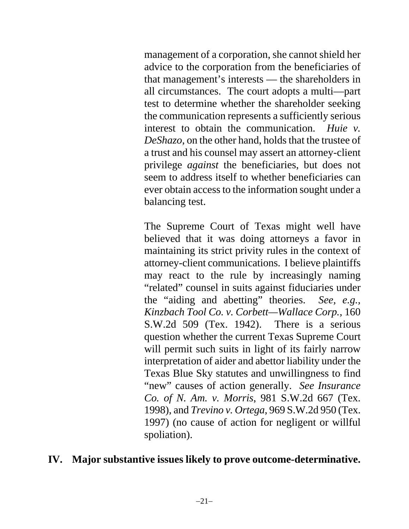management of a corporation, she cannot shield her advice to the corporation from the beneficiaries of that management's interests — the shareholders in all circumstances. The court adopts a multi—part test to determine whether the shareholder seeking the communication represents a sufficiently serious interest to obtain the communication. *Huie v. DeShazo*, on the other hand, holds that the trustee of a trust and his counsel may assert an attorney-client privilege *against* the beneficiaries, but does not seem to address itself to whether beneficiaries can ever obtain access to the information sought under a balancing test.

The Supreme Court of Texas might well have believed that it was doing attorneys a favor in maintaining its strict privity rules in the context of attorney-client communications. I believe plaintiffs may react to the rule by increasingly naming "related" counsel in suits against fiduciaries under the "aiding and abetting" theories. *See, e.g., Kinzbach Tool Co. v. Corbett—Wallace Corp.*, 160 S.W.2d 509 (Tex. 1942). There is a serious question whether the current Texas Supreme Court will permit such suits in light of its fairly narrow interpretation of aider and abettor liability under the Texas Blue Sky statutes and unwillingness to find "new" causes of action generally. *See Insurance Co. of N. Am. v. Morris*, 981 S.W.2d 667 (Tex. 1998), and *Trevino v. Ortega*, 969 S.W.2d 950 (Tex. 1997) (no cause of action for negligent or willful spoliation).

#### **IV. Major substantive issues likely to prove outcome-determinative.**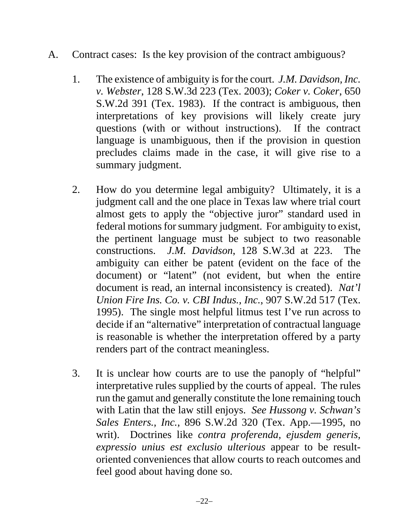- A. Contract cases: Is the key provision of the contract ambiguous?
	- 1. The existence of ambiguity is for the court. *J.M. Davidson, Inc. v. Webster*, 128 S.W.3d 223 (Tex. 2003); *Coker v. Coker*, 650 S.W.2d 391 (Tex. 1983). If the contract is ambiguous, then interpretations of key provisions will likely create jury questions (with or without instructions). If the contract language is unambiguous, then if the provision in question precludes claims made in the case, it will give rise to a summary judgment.
	- 2. How do you determine legal ambiguity? Ultimately, it is a judgment call and the one place in Texas law where trial court almost gets to apply the "objective juror" standard used in federal motions for summary judgment. For ambiguity to exist, the pertinent language must be subject to two reasonable constructions. *J.M. Davidson*, 128 S.W.3d at 223. The ambiguity can either be patent (evident on the face of the document) or "latent" (not evident, but when the entire document is read, an internal inconsistency is created). *Nat'l Union Fire Ins. Co. v. CBI Indus., Inc.*, 907 S.W.2d 517 (Tex. 1995). The single most helpful litmus test I've run across to decide if an "alternative" interpretation of contractual language is reasonable is whether the interpretation offered by a party renders part of the contract meaningless.
	- 3. It is unclear how courts are to use the panoply of "helpful" interpretative rules supplied by the courts of appeal. The rules run the gamut and generally constitute the lone remaining touch with Latin that the law still enjoys. *See Hussong v. Schwan's Sales Enters., Inc.*, 896 S.W.2d 320 (Tex. App.—1995, no writ). Doctrines like *contra proferenda, ejusdem generis, expressio unius est exclusio ulterious* appear to be resultoriented conveniences that allow courts to reach outcomes and feel good about having done so.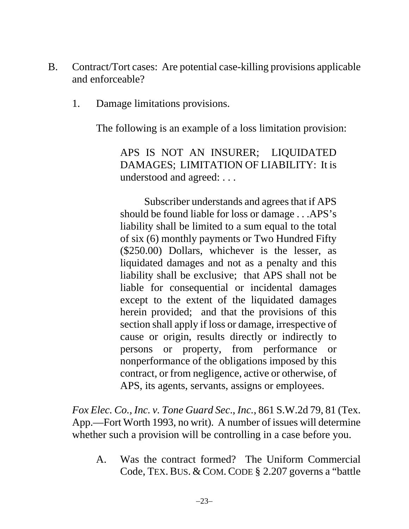- B. Contract/Tort cases: Are potential case-killing provisions applicable and enforceable?
	- 1. Damage limitations provisions.

The following is an example of a loss limitation provision:

APS IS NOT AN INSURER; LIQUIDATED DAMAGES; LIMITATION OF LIABILITY: It is understood and agreed: . . .

Subscriber understands and agrees that if APS should be found liable for loss or damage . . .APS's liability shall be limited to a sum equal to the total of six (6) monthly payments or Two Hundred Fifty (\$250.00) Dollars, whichever is the lesser, as liquidated damages and not as a penalty and this liability shall be exclusive; that APS shall not be liable for consequential or incidental damages except to the extent of the liquidated damages herein provided; and that the provisions of this section shall apply if loss or damage, irrespective of cause or origin, results directly or indirectly to persons or property, from performance or nonperformance of the obligations imposed by this contract, or from negligence, active or otherwise, of APS, its agents, servants, assigns or employees.

*Fox Elec. Co., Inc. v. Tone Guard Sec*., *Inc.*, 861 S.W.2d 79, 81 (Tex. App.—Fort Worth 1993, no writ). A number of issues will determine whether such a provision will be controlling in a case before you.

A. Was the contract formed? The Uniform Commercial Code, TEX. BUS. & COM. CODE § 2.207 governs a "battle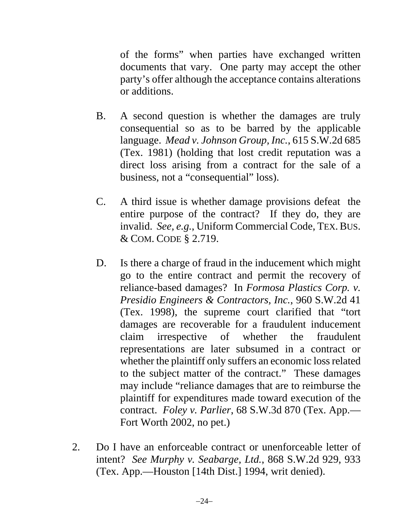of the forms" when parties have exchanged written documents that vary. One party may accept the other party's offer although the acceptance contains alterations or additions.

- B. A second question is whether the damages are truly consequential so as to be barred by the applicable language. *Mead v. Johnson Group, Inc.*, 615 S.W.2d 685 (Tex. 1981) (holding that lost credit reputation was a direct loss arising from a contract for the sale of a business, not a "consequential" loss).
- C. A third issue is whether damage provisions defeat the entire purpose of the contract? If they do, they are invalid. *See, e.g.*, Uniform Commercial Code, TEX. BUS. & COM. CODE § 2.719.
- D. Is there a charge of fraud in the inducement which might go to the entire contract and permit the recovery of reliance-based damages? In *Formosa Plastics Corp. v. Presidio Engineers & Contractors, Inc.*, 960 S.W.2d 41 (Tex. 1998), the supreme court clarified that "tort damages are recoverable for a fraudulent inducement claim irrespective of whether the fraudulent representations are later subsumed in a contract or whether the plaintiff only suffers an economic loss related to the subject matter of the contract." These damages may include "reliance damages that are to reimburse the plaintiff for expenditures made toward execution of the contract. *Foley v. Parlier*, 68 S.W.3d 870 (Tex. App.— Fort Worth 2002, no pet.)
- 2. Do I have an enforceable contract or unenforceable letter of intent? *See Murphy v. Seabarge, Ltd.*, 868 S.W.2d 929, 933 (Tex. App.—Houston [14th Dist.] 1994, writ denied).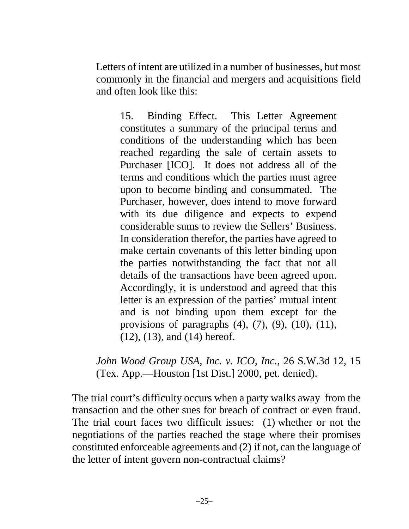Letters of intent are utilized in a number of businesses, but most commonly in the financial and mergers and acquisitions field and often look like this:

15. Binding Effect. This Letter Agreement constitutes a summary of the principal terms and conditions of the understanding which has been reached regarding the sale of certain assets to Purchaser [ICO]. It does not address all of the terms and conditions which the parties must agree upon to become binding and consummated. The Purchaser, however, does intend to move forward with its due diligence and expects to expend considerable sums to review the Sellers' Business. In consideration therefor, the parties have agreed to make certain covenants of this letter binding upon the parties notwithstanding the fact that not all details of the transactions have been agreed upon. Accordingly, it is understood and agreed that this letter is an expression of the parties' mutual intent and is not binding upon them except for the provisions of paragraphs  $(4)$ ,  $(7)$ ,  $(9)$ ,  $(10)$ ,  $(11)$ , (12), (13), and (14) hereof.

*John Wood Group USA, Inc. v. ICO, Inc.*, 26 S.W.3d 12, 15 (Tex. App.—Houston [1st Dist.] 2000, pet. denied).

The trial court's difficulty occurs when a party walks away from the transaction and the other sues for breach of contract or even fraud. The trial court faces two difficult issues: (1) whether or not the negotiations of the parties reached the stage where their promises constituted enforceable agreements and (2) if not, can the language of the letter of intent govern non-contractual claims?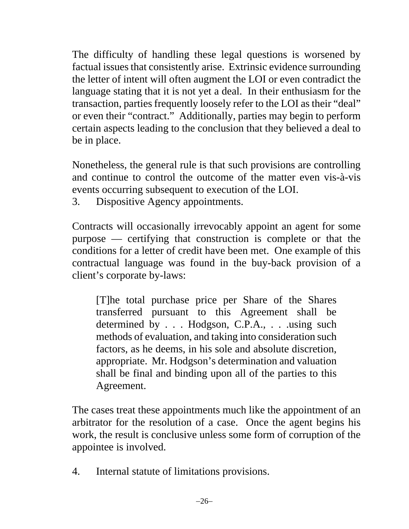The difficulty of handling these legal questions is worsened by factual issues that consistently arise. Extrinsic evidence surrounding the letter of intent will often augment the LOI or even contradict the language stating that it is not yet a deal. In their enthusiasm for the transaction, parties frequently loosely refer to the LOI as their "deal" or even their "contract." Additionally, parties may begin to perform certain aspects leading to the conclusion that they believed a deal to be in place.

Nonetheless, the general rule is that such provisions are controlling and continue to control the outcome of the matter even vis-à-vis events occurring subsequent to execution of the LOI.

3. Dispositive Agency appointments.

Contracts will occasionally irrevocably appoint an agent for some purpose — certifying that construction is complete or that the conditions for a letter of credit have been met. One example of this contractual language was found in the buy-back provision of a client's corporate by-laws:

[T]he total purchase price per Share of the Shares transferred pursuant to this Agreement shall be determined by . . . Hodgson, C.P.A., . . .using such methods of evaluation, and taking into consideration such factors, as he deems, in his sole and absolute discretion, appropriate. Mr. Hodgson's determination and valuation shall be final and binding upon all of the parties to this Agreement.

The cases treat these appointments much like the appointment of an arbitrator for the resolution of a case. Once the agent begins his work, the result is conclusive unless some form of corruption of the appointee is involved.

4. Internal statute of limitations provisions.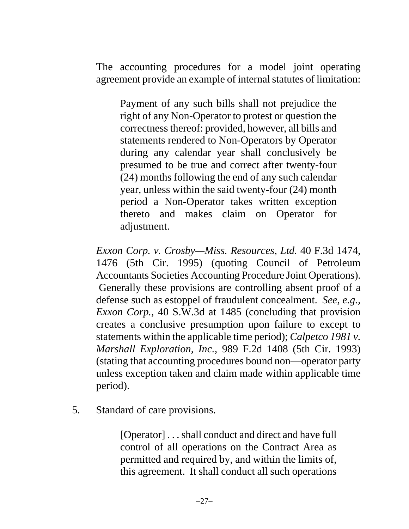The accounting procedures for a model joint operating agreement provide an example of internal statutes of limitation:

Payment of any such bills shall not prejudice the right of any Non-Operator to protest or question the correctness thereof: provided, however, all bills and statements rendered to Non-Operators by Operator during any calendar year shall conclusively be presumed to be true and correct after twenty-four (24) months following the end of any such calendar year, unless within the said twenty-four (24) month period a Non-Operator takes written exception thereto and makes claim on Operator for adjustment.

*Exxon Corp. v. Crosby—Miss. Resources*, *Ltd.* 40 F.3d 1474, 1476 (5th Cir. 1995) (quoting Council of Petroleum Accountants Societies Accounting Procedure Joint Operations). Generally these provisions are controlling absent proof of a defense such as estoppel of fraudulent concealment. *See, e.g., Exxon Corp.*, 40 S.W.3d at 1485 (concluding that provision creates a conclusive presumption upon failure to except to statements within the applicable time period); *Calpetco 1981 v. Marshall Exploration, Inc.*, 989 F.2d 1408 (5th Cir. 1993) (stating that accounting procedures bound non—operator party unless exception taken and claim made within applicable time period).

5. Standard of care provisions.

[Operator] . . . shall conduct and direct and have full control of all operations on the Contract Area as permitted and required by, and within the limits of, this agreement. It shall conduct all such operations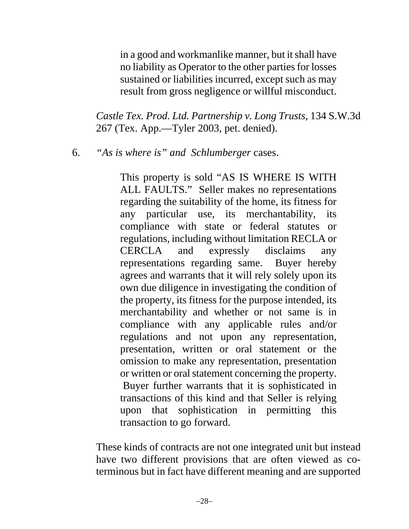in a good and workmanlike manner, but it shall have no liability as Operator to the other parties for losses sustained or liabilities incurred, except such as may result from gross negligence or willful misconduct.

*Castle Tex. Prod. Ltd. Partnership v. Long Trusts*, 134 S.W.3d 267 (Tex. App.—Tyler 2003, pet. denied).

6. *"As is where is" and Schlumberger* cases.

This property is sold "AS IS WHERE IS WITH ALL FAULTS." Seller makes no representations regarding the suitability of the home, its fitness for any particular use, its merchantability, its compliance with state or federal statutes or regulations, including without limitation RECLA or CERCLA and expressly disclaims any representations regarding same. Buyer hereby agrees and warrants that it will rely solely upon its own due diligence in investigating the condition of the property, its fitness for the purpose intended, its merchantability and whether or not same is in compliance with any applicable rules and/or regulations and not upon any representation, presentation, written or oral statement or the omission to make any representation, presentation or written or oral statement concerning the property. Buyer further warrants that it is sophisticated in transactions of this kind and that Seller is relying upon that sophistication in permitting this transaction to go forward.

These kinds of contracts are not one integrated unit but instead have two different provisions that are often viewed as coterminous but in fact have different meaning and are supported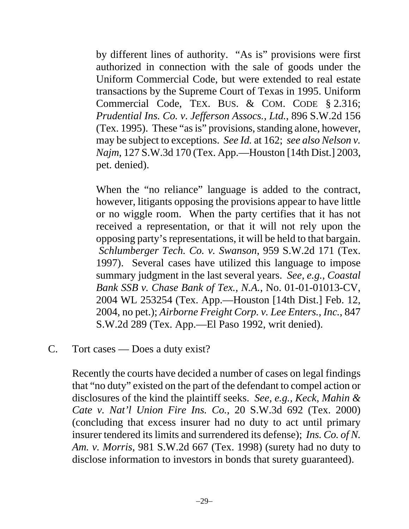by different lines of authority. "As is" provisions were first authorized in connection with the sale of goods under the Uniform Commercial Code, but were extended to real estate transactions by the Supreme Court of Texas in 1995. Uniform Commercial Code, TEX. BUS. & COM. CODE § 2.316; *Prudential Ins. Co. v*. *Jefferson Assocs., Ltd.*, 896 S.W.2d 156 (Tex. 1995). These "as is" provisions, standing alone, however, may be subject to exceptions. *See Id.* at 162; *see also Nelson v. Najm*, 127 S.W.3d 170 (Tex. App.—Houston [14th Dist.] 2003, pet. denied).

When the "no reliance" language is added to the contract, however, litigants opposing the provisions appear to have little or no wiggle room. When the party certifies that it has not received a representation, or that it will not rely upon the opposing party's representations, it will be held to that bargain. *Schlumberger Tech. Co. v. Swanson*, 959 S.W.2d 171 (Tex. 1997). Several cases have utilized this language to impose summary judgment in the last several years. *See, e.g., Coastal Bank SSB v. Chase Bank of Tex., N.A.*, No. 01-01-01013-CV, 2004 WL 253254 (Tex. App.—Houston [14th Dist.] Feb. 12, 2004, no pet.); *Airborne Freight Corp. v. Lee Enters., Inc.*, 847 S.W.2d 289 (Tex. App.—El Paso 1992, writ denied).

C. Tort cases — Does a duty exist?

Recently the courts have decided a number of cases on legal findings that "no duty" existed on the part of the defendant to compel action or disclosures of the kind the plaintiff seeks. *See, e.g., Keck, Mahin & Cate v. Nat'l Union Fire Ins. Co.*, 20 S.W.3d 692 (Tex. 2000) (concluding that excess insurer had no duty to act until primary insurer tendered its limits and surrendered its defense); *Ins. Co. of N. Am. v. Morris*, 981 S.W.2d 667 (Tex. 1998) (surety had no duty to disclose information to investors in bonds that surety guaranteed).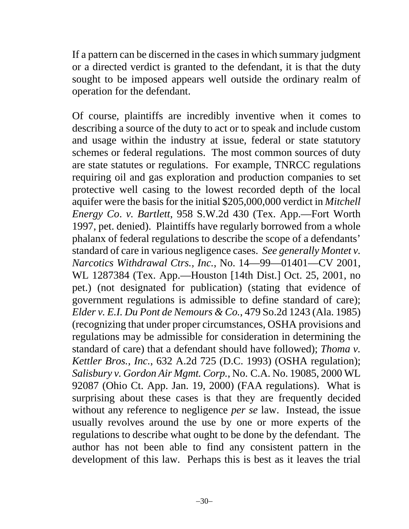If a pattern can be discerned in the cases in which summary judgment or a directed verdict is granted to the defendant, it is that the duty sought to be imposed appears well outside the ordinary realm of operation for the defendant.

Of course, plaintiffs are incredibly inventive when it comes to describing a source of the duty to act or to speak and include custom and usage within the industry at issue, federal or state statutory schemes or federal regulations. The most common sources of duty are state statutes or regulations. For example, TNRCC regulations requiring oil and gas exploration and production companies to set protective well casing to the lowest recorded depth of the local aquifer were the basis for the initial \$205,000,000 verdict in *Mitchell Energy Co*. *v. Bartlett*, 958 S.W.2d 430 (Tex. App.—Fort Worth 1997, pet. denied). Plaintiffs have regularly borrowed from a whole phalanx of federal regulations to describe the scope of a defendants' standard of care in various negligence cases. *See generally Montet v. Narcotics Withdrawal Ctrs., Inc.*, No. 14—99—01401—CV 2001, WL 1287384 (Tex. App.—Houston [14th Dist.] Oct. 25, 2001, no pet.) (not designated for publication) (stating that evidence of government regulations is admissible to define standard of care); *Elder v. E.I. Du Pont de Nemours & Co.*, 479 So.2d 1243 (Ala. 1985) (recognizing that under proper circumstances, OSHA provisions and regulations may be admissible for consideration in determining the standard of care) that a defendant should have followed); *Thoma v. Kettler Bros., Inc.*, 632 A.2d 725 (D.C. 1993) (OSHA regulation); *Salisbury v. Gordon Air Mgmt. Corp.*, No. C.A. No. 19085, 2000 WL 92087 (Ohio Ct. App. Jan. 19, 2000) (FAA regulations). What is surprising about these cases is that they are frequently decided without any reference to negligence *per se* law. Instead, the issue usually revolves around the use by one or more experts of the regulations to describe what ought to be done by the defendant. The author has not been able to find any consistent pattern in the development of this law. Perhaps this is best as it leaves the trial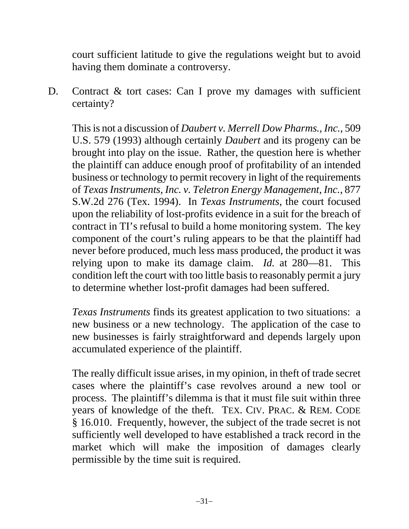court sufficient latitude to give the regulations weight but to avoid having them dominate a controversy.

D. Contract & tort cases: Can I prove my damages with sufficient certainty?

This is not a discussion of *Daubert v. Merrell Dow Pharms., Inc.*, 509 U.S. 579 (1993) although certainly *Daubert* and its progeny can be brought into play on the issue. Rather, the question here is whether the plaintiff can adduce enough proof of profitability of an intended business or technology to permit recovery in light of the requirements of *Texas Instruments, Inc. v. Teletron Energy Management, Inc.*, 877 S.W.2d 276 (Tex. 1994). In *Texas Instruments*, the court focused upon the reliability of lost-profits evidence in a suit for the breach of contract in TI's refusal to build a home monitoring system. The key component of the court's ruling appears to be that the plaintiff had never before produced, much less mass produced, the product it was relying upon to make its damage claim. *Id.* at 280—81. This condition left the court with too little basis to reasonably permit a jury to determine whether lost-profit damages had been suffered.

*Texas Instruments* finds its greatest application to two situations: a new business or a new technology. The application of the case to new businesses is fairly straightforward and depends largely upon accumulated experience of the plaintiff.

The really difficult issue arises, in my opinion, in theft of trade secret cases where the plaintiff's case revolves around a new tool or process. The plaintiff's dilemma is that it must file suit within three years of knowledge of the theft. TEX. CIV. PRAC. & REM. CODE § 16.010. Frequently, however, the subject of the trade secret is not sufficiently well developed to have established a track record in the market which will make the imposition of damages clearly permissible by the time suit is required.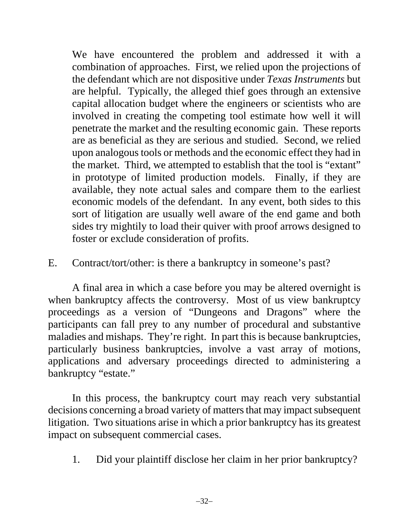We have encountered the problem and addressed it with a combination of approaches. First, we relied upon the projections of the defendant which are not dispositive under *Texas Instruments* but are helpful. Typically, the alleged thief goes through an extensive capital allocation budget where the engineers or scientists who are involved in creating the competing tool estimate how well it will penetrate the market and the resulting economic gain. These reports are as beneficial as they are serious and studied. Second, we relied upon analogous tools or methods and the economic effect they had in the market. Third, we attempted to establish that the tool is "extant" in prototype of limited production models. Finally, if they are available, they note actual sales and compare them to the earliest economic models of the defendant. In any event, both sides to this sort of litigation are usually well aware of the end game and both sides try mightily to load their quiver with proof arrows designed to foster or exclude consideration of profits.

E. Contract/tort/other: is there a bankruptcy in someone's past?

A final area in which a case before you may be altered overnight is when bankruptcy affects the controversy. Most of us view bankruptcy proceedings as a version of "Dungeons and Dragons" where the participants can fall prey to any number of procedural and substantive maladies and mishaps. They're right. In part this is because bankruptcies, particularly business bankruptcies, involve a vast array of motions, applications and adversary proceedings directed to administering a bankruptcy "estate."

In this process, the bankruptcy court may reach very substantial decisions concerning a broad variety of matters that may impact subsequent litigation. Two situations arise in which a prior bankruptcy has its greatest impact on subsequent commercial cases.

1. Did your plaintiff disclose her claim in her prior bankruptcy?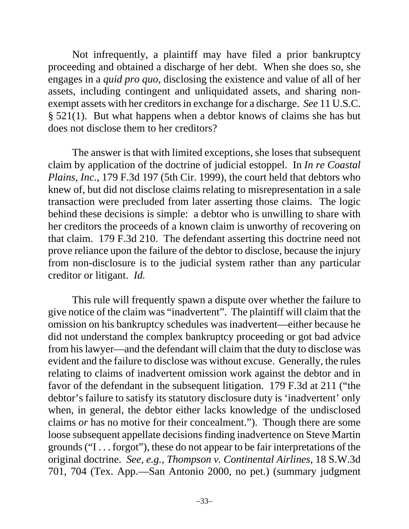Not infrequently, a plaintiff may have filed a prior bankruptcy proceeding and obtained a discharge of her debt. When she does so, she engages in a *quid pro quo*, disclosing the existence and value of all of her assets, including contingent and unliquidated assets, and sharing nonexempt assets with her creditors in exchange for a discharge. *See* 11 U.S.C. § 521(1). But what happens when a debtor knows of claims she has but does not disclose them to her creditors?

The answer is that with limited exceptions, she loses that subsequent claim by application of the doctrine of judicial estoppel. In *In re Coastal Plains, Inc.,* 179 F.3d 197 (5th Cir. 1999), the court held that debtors who knew of, but did not disclose claims relating to misrepresentation in a sale transaction were precluded from later asserting those claims. The logic behind these decisions is simple: a debtor who is unwilling to share with her creditors the proceeds of a known claim is unworthy of recovering on that claim. 179 F.3d 210. The defendant asserting this doctrine need not prove reliance upon the failure of the debtor to disclose, because the injury from non-disclosure is to the judicial system rather than any particular creditor or litigant. *Id.*

This rule will frequently spawn a dispute over whether the failure to give notice of the claim was "inadvertent". The plaintiff will claim that the omission on his bankruptcy schedules was inadvertent—either because he did not understand the complex bankruptcy proceeding or got bad advice from his lawyer—and the defendant will claim that the duty to disclose was evident and the failure to disclose was without excuse. Generally, the rules relating to claims of inadvertent omission work against the debtor and in favor of the defendant in the subsequent litigation. 179 F.3d at 211 ("the debtor's failure to satisfy its statutory disclosure duty is 'inadvertent' only when, in general, the debtor either lacks knowledge of the undisclosed claims *or* has no motive for their concealment."). Though there are some loose subsequent appellate decisions finding inadvertence on Steve Martin grounds ("I . . . forgot"), these do not appear to be fair interpretations of the original doctrine. *See, e.g., Thompson v. Continental Airlines*, 18 S.W.3d 701, 704 (Tex. App.—San Antonio 2000, no pet.) (summary judgment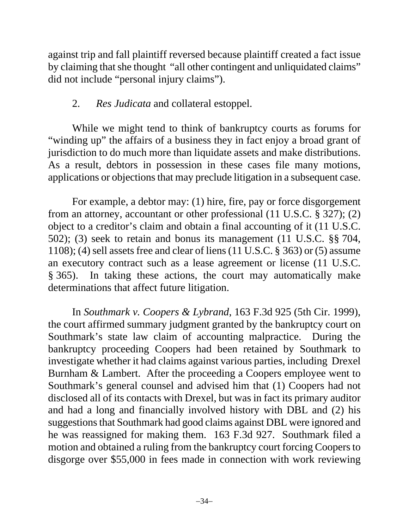against trip and fall plaintiff reversed because plaintiff created a fact issue by claiming that she thought "all other contingent and unliquidated claims" did not include "personal injury claims").

# 2. *Res Judicata* and collateral estoppel.

While we might tend to think of bankruptcy courts as forums for "winding up" the affairs of a business they in fact enjoy a broad grant of jurisdiction to do much more than liquidate assets and make distributions. As a result, debtors in possession in these cases file many motions, applications or objections that may preclude litigation in a subsequent case.

For example, a debtor may: (1) hire, fire, pay or force disgorgement from an attorney, accountant or other professional (11 U.S.C. § 327); (2) object to a creditor's claim and obtain a final accounting of it (11 U.S.C. 502); (3) seek to retain and bonus its management (11 U.S.C. §§ 704, 1108); (4) sell assets free and clear of liens (11 U.S.C. § 363) or (5) assume an executory contract such as a lease agreement or license (11 U.S.C. § 365). In taking these actions, the court may automatically make determinations that affect future litigation.

In *Southmark v. Coopers & Lybrand*, 163 F.3d 925 (5th Cir. 1999), the court affirmed summary judgment granted by the bankruptcy court on Southmark's state law claim of accounting malpractice. During the bankruptcy proceeding Coopers had been retained by Southmark to investigate whether it had claims against various parties, including Drexel Burnham & Lambert. After the proceeding a Coopers employee went to Southmark's general counsel and advised him that (1) Coopers had not disclosed all of its contacts with Drexel, but was in fact its primary auditor and had a long and financially involved history with DBL and (2) his suggestions that Southmark had good claims against DBL were ignored and he was reassigned for making them. 163 F.3d 927. Southmark filed a motion and obtained a ruling from the bankruptcy court forcing Coopers to disgorge over \$55,000 in fees made in connection with work reviewing